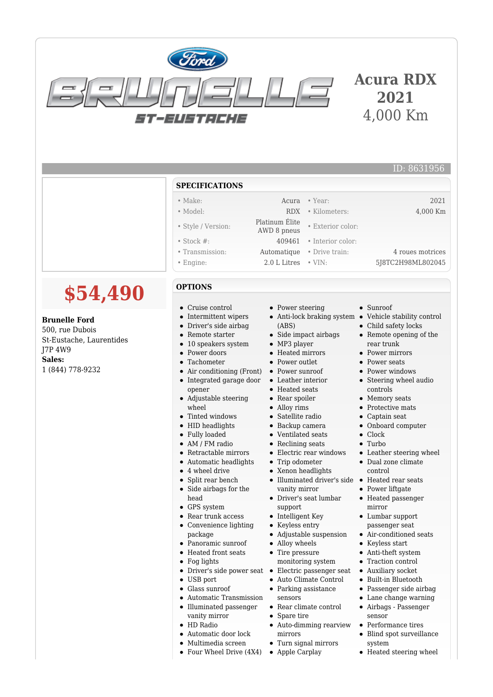

## **Acura RDX 2021** 4,000 Km

## ID: 8631956

## **SPECIFICATIONS**

- Make: Acura Year: 2021
- Model: RDX Kilometers: 4,000 Km
- Style / Version: Platinum Élite
- Stock #: 409461 Interior color:
- Transmission: Automatique Drive train: 4 roues motrices
- 

## **OPTIONS**

**\$54,490**

**Brunelle Ford** 500, rue Dubois

1 (844) 778-9232

J7P 4W9 **Sales:**

St-Eustache, Laurentides

- Cruise control
- Intermittent wipers
- Driver's side airbag  $\bullet$
- $\bullet$ Remote starter
- 10 speakers system
- Power doors
- Tachometer
- Air conditioning (Front)  $\bullet$  $\bullet$ Integrated garage door
- opener
- $\bullet$ Adjustable steering wheel
- Tinted windows  $\bullet$
- HID headlights
- Fully loaded
- AM / FM radio
- Retractable mirrors
- Automatic headlights
- 4 wheel drive
- Split rear bench
- Side airbags for the  $\bullet$ head
- GPS system
- Rear trunk access
- Convenience lighting  $\bullet$ package
- Panoramic sunroof
- Heated front seats
- $\bullet$ Fog lights
- Driver's side power seat •
- USB port  $\bullet$
- Glass sunroof  $\bullet$
- Automatic Transmission
- Illuminated passenger  $\bullet$
- vanity mirror
- HD Radio
- Automatic door lock
- Multimedia screen
- Four Wheel Drive (4X4)

• Power steering

Platinum Ente<br>AWD 8 pneus • Exterior color:

- Anti-lock braking system
- (ABS) • Side impact airbags
- MP3 player
- Heated mirrors
- Power outlet
- Power sunroof
- $\bullet$ Leather interior
- Heated seats
- Rear spoiler
- Alloy rims
- Satellite radio
- Backup camera
- Ventilated seats
- Reclining seats
- Electric rear windows
- Trip odometer
- Xenon headlights
- Illuminated driver's side Heated rear seats vanity mirror
- Driver's seat lumbar support
- Intelligent Key
- Keyless entry

 $\bullet$ 

- Adjustable suspension  $\bullet$ 
	- Alloy wheels
- $\bullet$ Tire pressure
- monitoring system
- Electric passenger seat Auto Climate Control
- Parking assistance
- sensors
- Rear climate control
- Spare tire
- Auto-dimming rearview mirrors
- Turn signal mirrors
- Apple Carplay
- Engine: 2.0 L Litres VIN: 5J8TC2H98ML802045
	- Sunroof
	- Vehicle stability control
	- Child safety locks
	- Remote opening of the rear trunk
	- Power mirrors
	- **Power seats**
	- Power windows
	- Steering wheel audio controls
	- Memory seats
	- Protective mats
	- Captain seat  $\bullet$
	- Onboard computer  $\bullet$
	- Clock
	- Turbo

 $\bullet$ 

 $\bullet$  $\bullet$ 

 $\bullet$ 

 $\bullet$ 

 $\bullet$ 

- Leather steering wheel
- Dual zone climate control
- 
- Power liftgate
- Heated passenger mirror Lumbar support

passenger seat Air-conditioned seats Keyless start Anti-theft system Traction control Auxiliary socket Built-in Bluetooth Passenger side airbag Lane change warning Airbags - Passenger

sensor

system

Performance tires Blind spot surveillance

Heated steering wheel